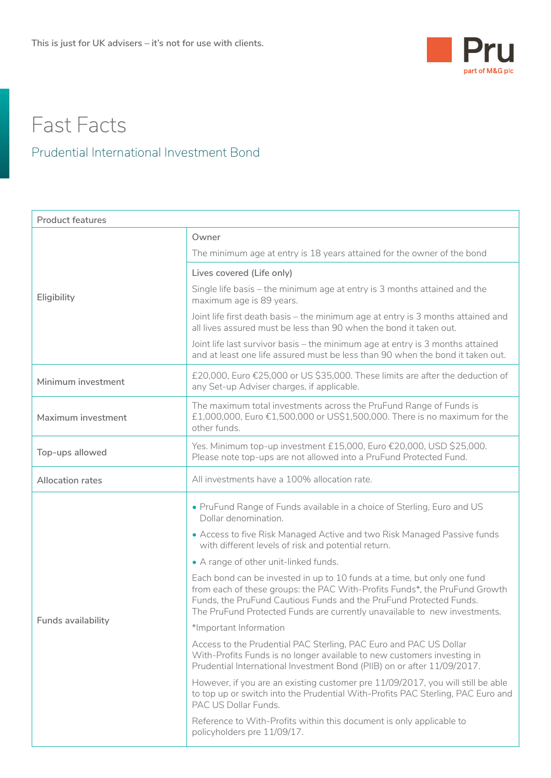

## Fast Facts

## Prudential International Investment Bond

| <b>Product features</b> |                                                                                                                                                                                                                                                                                                           |  |  |  |
|-------------------------|-----------------------------------------------------------------------------------------------------------------------------------------------------------------------------------------------------------------------------------------------------------------------------------------------------------|--|--|--|
| Eligibility             | Owner                                                                                                                                                                                                                                                                                                     |  |  |  |
|                         | The minimum age at entry is 18 years attained for the owner of the bond                                                                                                                                                                                                                                   |  |  |  |
|                         | Lives covered (Life only)                                                                                                                                                                                                                                                                                 |  |  |  |
|                         | Single life basis – the minimum age at entry is 3 months attained and the<br>maximum age is 89 years.                                                                                                                                                                                                     |  |  |  |
|                         | Joint life first death basis – the minimum age at entry is 3 months attained and<br>all lives assured must be less than 90 when the bond it taken out.                                                                                                                                                    |  |  |  |
|                         | Joint life last survivor basis - the minimum age at entry is 3 months attained<br>and at least one life assured must be less than 90 when the bond it taken out.                                                                                                                                          |  |  |  |
| Minimum investment      | £20,000, Euro €25,000 or US \$35,000. These limits are after the deduction of<br>any Set-up Adviser charges, if applicable.                                                                                                                                                                               |  |  |  |
| Maximum investment      | The maximum total investments across the PruFund Range of Funds is<br>£1,000,000, Euro €1,500,000 or US\$1,500,000. There is no maximum for the<br>other funds.                                                                                                                                           |  |  |  |
| Top-ups allowed         | Yes. Minimum top-up investment £15,000, Euro €20,000, USD \$25,000.<br>Please note top-ups are not allowed into a PruFund Protected Fund.                                                                                                                                                                 |  |  |  |
| <b>Allocation rates</b> | All investments have a 100% allocation rate.                                                                                                                                                                                                                                                              |  |  |  |
|                         | . PruFund Range of Funds available in a choice of Sterling, Euro and US<br>Dollar denomination.                                                                                                                                                                                                           |  |  |  |
|                         | • Access to five Risk Managed Active and two Risk Managed Passive funds<br>with different levels of risk and potential return.                                                                                                                                                                            |  |  |  |
|                         | • A range of other unit-linked funds.                                                                                                                                                                                                                                                                     |  |  |  |
|                         | Each bond can be invested in up to 10 funds at a time, but only one fund<br>from each of these groups: the PAC With-Profits Funds*, the PruFund Growth<br>Funds, the PruFund Cautious Funds and the PruFund Protected Funds.<br>The PruFund Protected Funds are currently unavailable to new investments. |  |  |  |
| Funds availability      | *Important Information                                                                                                                                                                                                                                                                                    |  |  |  |
|                         | Access to the Prudential PAC Sterling, PAC Euro and PAC US Dollar<br>With-Profits Funds is no longer available to new customers investing in<br>Prudential International Investment Bond (PIIB) on or after 11/09/2017.                                                                                   |  |  |  |
|                         | However, if you are an existing customer pre 11/09/2017, you will still be able<br>to top up or switch into the Prudential With-Profits PAC Sterling, PAC Euro and<br>PAC US Dollar Funds.                                                                                                                |  |  |  |
|                         | Reference to With-Profits within this document is only applicable to<br>policyholders pre 11/09/17.                                                                                                                                                                                                       |  |  |  |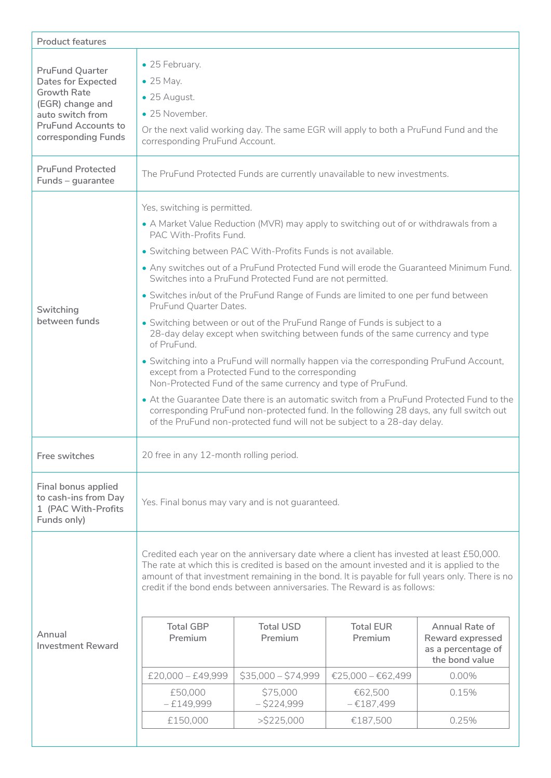| <b>Product features</b>                                                                                                                                                |                                                                                                                                                                                                                                                                                                                                                                                                                                                                                                                                                                                                                                                                                                                                                                                                                                                                                                                                                                                                                                                                                                                                                        |  |  |  |  |
|------------------------------------------------------------------------------------------------------------------------------------------------------------------------|--------------------------------------------------------------------------------------------------------------------------------------------------------------------------------------------------------------------------------------------------------------------------------------------------------------------------------------------------------------------------------------------------------------------------------------------------------------------------------------------------------------------------------------------------------------------------------------------------------------------------------------------------------------------------------------------------------------------------------------------------------------------------------------------------------------------------------------------------------------------------------------------------------------------------------------------------------------------------------------------------------------------------------------------------------------------------------------------------------------------------------------------------------|--|--|--|--|
| <b>PruFund Quarter</b><br><b>Dates for Expected</b><br><b>Growth Rate</b><br>(EGR) change and<br>auto switch from<br><b>PruFund Accounts to</b><br>corresponding Funds | • 25 February.<br>$\bullet$ 25 May.<br>• 25 August.<br>• 25 November.<br>Or the next valid working day. The same EGR will apply to both a PruFund Fund and the<br>corresponding PruFund Account.                                                                                                                                                                                                                                                                                                                                                                                                                                                                                                                                                                                                                                                                                                                                                                                                                                                                                                                                                       |  |  |  |  |
| <b>PruFund Protected</b><br>Funds - guarantee                                                                                                                          | The PruFund Protected Funds are currently unavailable to new investments.                                                                                                                                                                                                                                                                                                                                                                                                                                                                                                                                                                                                                                                                                                                                                                                                                                                                                                                                                                                                                                                                              |  |  |  |  |
| Switching<br>between funds                                                                                                                                             | Yes, switching is permitted.<br>• A Market Value Reduction (MVR) may apply to switching out of or withdrawals from a<br>PAC With-Profits Fund.<br>• Switching between PAC With-Profits Funds is not available.<br>. Any switches out of a PruFund Protected Fund will erode the Guaranteed Minimum Fund.<br>Switches into a PruFund Protected Fund are not permitted.<br>• Switches in/out of the PruFund Range of Funds are limited to one per fund between<br>PruFund Quarter Dates.<br>• Switching between or out of the PruFund Range of Funds is subject to a<br>28-day delay except when switching between funds of the same currency and type<br>of PruFund.<br>• Switching into a PruFund will normally happen via the corresponding PruFund Account,<br>except from a Protected Fund to the corresponding<br>Non-Protected Fund of the same currency and type of PruFund.<br>• At the Guarantee Date there is an automatic switch from a PruFund Protected Fund to the<br>corresponding PruFund non-protected fund. In the following 28 days, any full switch out<br>of the PruFund non-protected fund will not be subject to a 28-day delay. |  |  |  |  |
| Free switches                                                                                                                                                          | 20 free in any 12-month rolling period.                                                                                                                                                                                                                                                                                                                                                                                                                                                                                                                                                                                                                                                                                                                                                                                                                                                                                                                                                                                                                                                                                                                |  |  |  |  |
| Final bonus applied<br>to cash-ins from Day<br>1 (PAC With-Profits<br>Funds only)                                                                                      | Yes. Final bonus may vary and is not guaranteed.                                                                                                                                                                                                                                                                                                                                                                                                                                                                                                                                                                                                                                                                                                                                                                                                                                                                                                                                                                                                                                                                                                       |  |  |  |  |
| Annual<br><b>Investment Reward</b>                                                                                                                                     | Credited each year on the anniversary date where a client has invested at least £50,000.<br>The rate at which this is credited is based on the amount invested and it is applied to the<br>amount of that investment remaining in the bond. It is payable for full years only. There is no<br>credit if the bond ends between anniversaries. The Reward is as follows:<br><b>Total USD</b><br><b>Total EUR</b><br><b>Total GBP</b><br>Annual Rate of<br>Premium<br>Premium<br>Premium<br>Reward expressed<br>as a percentage of<br>the bond value<br>$$35,000 - $74,999$<br>$£20,000 - £49,999$<br>€25,000 - €62,499<br>0.00%<br>\$75,000<br>€62,500<br>£50,000<br>0.15%<br>$-£149,999$<br>$-$ \$224,999<br>$-£187,499$<br>£150,000<br>$>$ \$225,000<br>€187,500<br>0.25%                                                                                                                                                                                                                                                                                                                                                                              |  |  |  |  |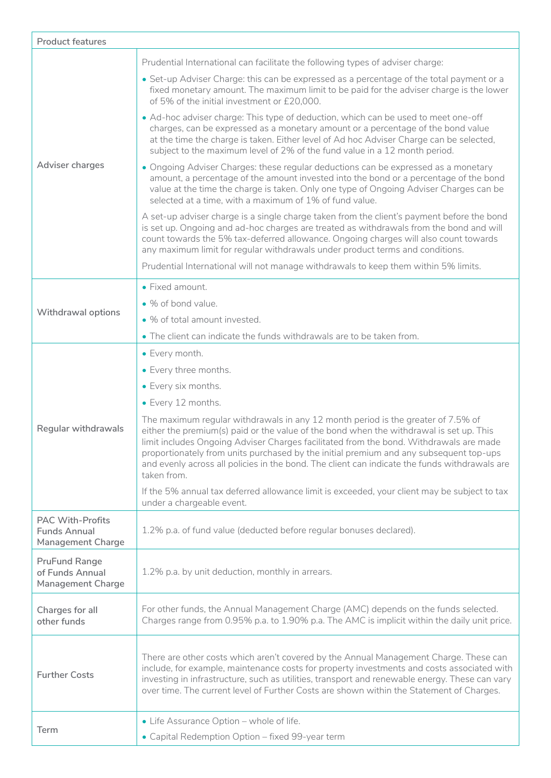| <b>Product features</b>                                                    |                                                                                                                                                                                                                                                                                                                                                                                                                                                                                 |  |
|----------------------------------------------------------------------------|---------------------------------------------------------------------------------------------------------------------------------------------------------------------------------------------------------------------------------------------------------------------------------------------------------------------------------------------------------------------------------------------------------------------------------------------------------------------------------|--|
|                                                                            | Prudential International can facilitate the following types of adviser charge:                                                                                                                                                                                                                                                                                                                                                                                                  |  |
| Adviser charges                                                            | • Set-up Adviser Charge: this can be expressed as a percentage of the total payment or a<br>fixed monetary amount. The maximum limit to be paid for the adviser charge is the lower<br>of 5% of the initial investment or £20,000.                                                                                                                                                                                                                                              |  |
|                                                                            | • Ad-hoc adviser charge: This type of deduction, which can be used to meet one-off<br>charges, can be expressed as a monetary amount or a percentage of the bond value<br>at the time the charge is taken. Either level of Ad hoc Adviser Charge can be selected,<br>subject to the maximum level of 2% of the fund value in a 12 month period.                                                                                                                                 |  |
|                                                                            | • Ongoing Adviser Charges: these regular deductions can be expressed as a monetary<br>amount, a percentage of the amount invested into the bond or a percentage of the bond<br>value at the time the charge is taken. Only one type of Ongoing Adviser Charges can be<br>selected at a time, with a maximum of 1% of fund value.                                                                                                                                                |  |
|                                                                            | A set-up adviser charge is a single charge taken from the client's payment before the bond<br>is set up. Ongoing and ad-hoc charges are treated as withdrawals from the bond and will<br>count towards the 5% tax-deferred allowance. Ongoing charges will also count towards<br>any maximum limit for regular withdrawals under product terms and conditions.                                                                                                                  |  |
|                                                                            | Prudential International will not manage withdrawals to keep them within 5% limits.                                                                                                                                                                                                                                                                                                                                                                                             |  |
|                                                                            | • Fixed amount.                                                                                                                                                                                                                                                                                                                                                                                                                                                                 |  |
|                                                                            | • % of bond value.                                                                                                                                                                                                                                                                                                                                                                                                                                                              |  |
| <b>Withdrawal options</b>                                                  | • % of total amount invested.                                                                                                                                                                                                                                                                                                                                                                                                                                                   |  |
|                                                                            | • The client can indicate the funds withdrawals are to be taken from.                                                                                                                                                                                                                                                                                                                                                                                                           |  |
|                                                                            | • Every month.                                                                                                                                                                                                                                                                                                                                                                                                                                                                  |  |
|                                                                            | • Every three months.                                                                                                                                                                                                                                                                                                                                                                                                                                                           |  |
|                                                                            | • Every six months.                                                                                                                                                                                                                                                                                                                                                                                                                                                             |  |
|                                                                            | • Every 12 months.                                                                                                                                                                                                                                                                                                                                                                                                                                                              |  |
| Regular withdrawals                                                        | The maximum regular withdrawals in any 12 month period is the greater of 7.5% of<br>either the premium(s) paid or the value of the bond when the withdrawal is set up. This<br>limit includes Ongoing Adviser Charges facilitated from the bond. Withdrawals are made<br>proportionately from units purchased by the initial premium and any subsequent top-ups<br>and evenly across all policies in the bond. The client can indicate the funds withdrawals are<br>taken from. |  |
|                                                                            | If the 5% annual tax deferred allowance limit is exceeded, your client may be subject to tax<br>under a chargeable event.                                                                                                                                                                                                                                                                                                                                                       |  |
| <b>PAC With-Profits</b><br><b>Funds Annual</b><br><b>Management Charge</b> | 1.2% p.a. of fund value (deducted before regular bonuses declared).                                                                                                                                                                                                                                                                                                                                                                                                             |  |
| <b>PruFund Range</b><br>of Funds Annual<br><b>Management Charge</b>        | 1.2% p.a. by unit deduction, monthly in arrears.                                                                                                                                                                                                                                                                                                                                                                                                                                |  |
| Charges for all<br>other funds                                             | For other funds, the Annual Management Charge (AMC) depends on the funds selected.<br>Charges range from 0.95% p.a. to 1.90% p.a. The AMC is implicit within the daily unit price.                                                                                                                                                                                                                                                                                              |  |
| <b>Further Costs</b>                                                       | There are other costs which aren't covered by the Annual Management Charge. These can<br>include, for example, maintenance costs for property investments and costs associated with<br>investing in infrastructure, such as utilities, transport and renewable energy. These can vary<br>over time. The current level of Further Costs are shown within the Statement of Charges.                                                                                               |  |
| Term                                                                       | • Life Assurance Option - whole of life.<br>• Capital Redemption Option - fixed 99-year term                                                                                                                                                                                                                                                                                                                                                                                    |  |